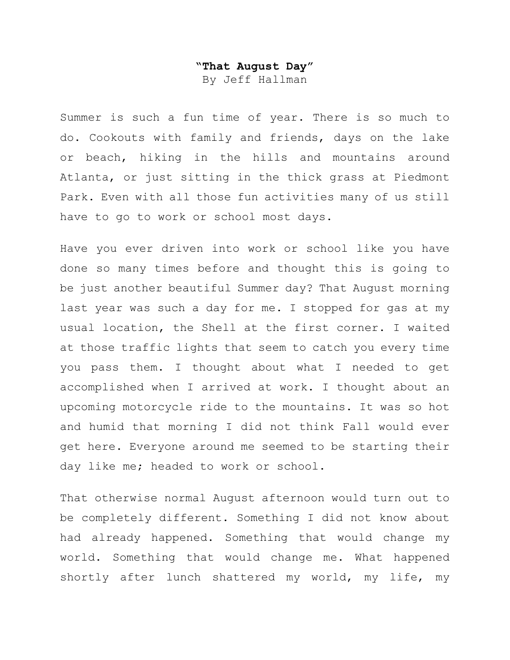## **"That August Day"** By Jeff Hallman

Summer is such a fun time of year. There is so much to do. Cookouts with family and friends, days on the lake or beach, hiking in the hills and mountains around Atlanta, or just sitting in the thick grass at Piedmont Park. Even with all those fun activities many of us still have to go to work or school most days.

Have you ever driven into work or school like you have done so many times before and thought this is going to be just another beautiful Summer day? That August morning last year was such a day for me. I stopped for gas at my usual location, the Shell at the first corner. I waited at those traffic lights that seem to catch you every time you pass them. I thought about what I needed to get accomplished when I arrived at work. I thought about an upcoming motorcycle ride to the mountains. It was so hot and humid that morning I did not think Fall would ever get here. Everyone around me seemed to be starting their day like me; headed to work or school.

That otherwise normal August afternoon would turn out to be completely different. Something I did not know about had already happened. Something that would change my world. Something that would change me. What happened shortly after lunch shattered my world, my life, my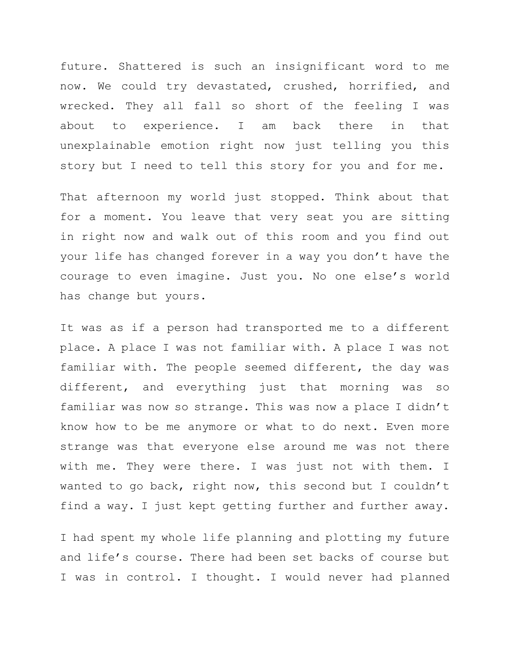future. Shattered is such an insignificant word to me now. We could try devastated, crushed, horrified, and wrecked. They all fall so short of the feeling I was about to experience. I am back there in that unexplainable emotion right now just telling you this story but I need to tell this story for you and for me.

That afternoon my world just stopped. Think about that for a moment. You leave that very seat you are sitting in right now and walk out of this room and you find out your life has changed forever in a way you don't have the courage to even imagine. Just you. No one else's world has change but yours.

It was as if a person had transported me to a different place. A place I was not familiar with. A place I was not familiar with. The people seemed different, the day was different, and everything just that morning was so familiar was now so strange. This was now a place I didn't know how to be me anymore or what to do next. Even more strange was that everyone else around me was not there with me. They were there. I was just not with them. I wanted to go back, right now, this second but I couldn't find a way. I just kept getting further and further away.

I had spent my whole life planning and plotting my future and life's course. There had been set backs of course but I was in control. I thought. I would never had planned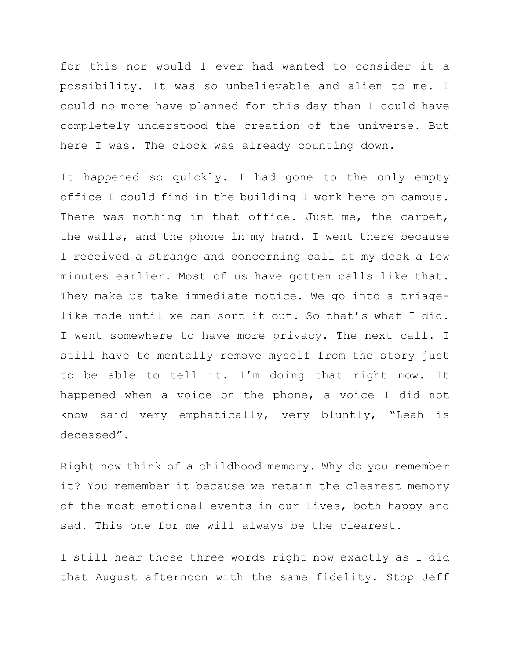for this nor would I ever had wanted to consider it a possibility. It was so unbelievable and alien to me. I could no more have planned for this day than I could have completely understood the creation of the universe. But here I was. The clock was already counting down.

It happened so quickly. I had gone to the only empty office I could find in the building I work here on campus. There was nothing in that office. Just me, the carpet, the walls, and the phone in my hand. I went there because I received a strange and concerning call at my desk a few minutes earlier. Most of us have gotten calls like that. They make us take immediate notice. We go into a triagelike mode until we can sort it out. So that's what I did. I went somewhere to have more privacy. The next call. I still have to mentally remove myself from the story just to be able to tell it. I'm doing that right now. It happened when a voice on the phone, a voice I did not know said very emphatically, very bluntly, "Leah is deceased".

Right now think of a childhood memory. Why do you remember it? You remember it because we retain the clearest memory of the most emotional events in our lives, both happy and sad. This one for me will always be the clearest.

I still hear those three words right now exactly as I did that August afternoon with the same fidelity. Stop Jeff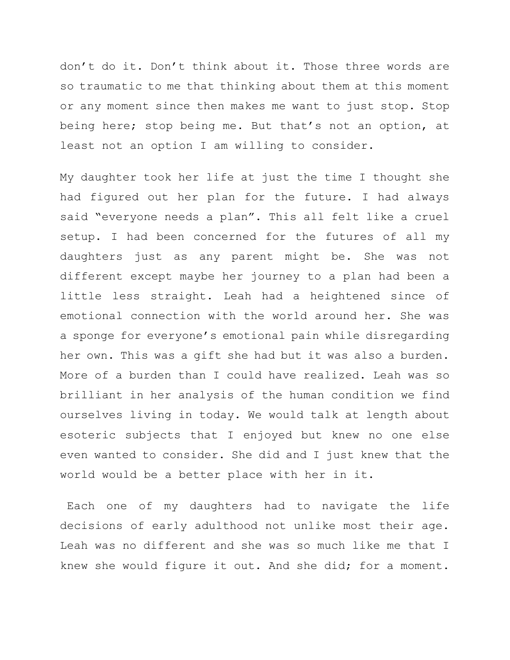don't do it. Don't think about it. Those three words are so traumatic to me that thinking about them at this moment or any moment since then makes me want to just stop. Stop being here; stop being me. But that's not an option, at least not an option I am willing to consider.

My daughter took her life at just the time I thought she had figured out her plan for the future. I had always said "everyone needs a plan". This all felt like a cruel setup. I had been concerned for the futures of all my daughters just as any parent might be. She was not different except maybe her journey to a plan had been a little less straight. Leah had a heightened since of emotional connection with the world around her. She was a sponge for everyone's emotional pain while disregarding her own. This was a gift she had but it was also a burden. More of a burden than I could have realized. Leah was so brilliant in her analysis of the human condition we find ourselves living in today. We would talk at length about esoteric subjects that I enjoyed but knew no one else even wanted to consider. She did and I just knew that the world would be a better place with her in it.

Each one of my daughters had to navigate the life decisions of early adulthood not unlike most their age. Leah was no different and she was so much like me that I knew she would figure it out. And she did; for a moment.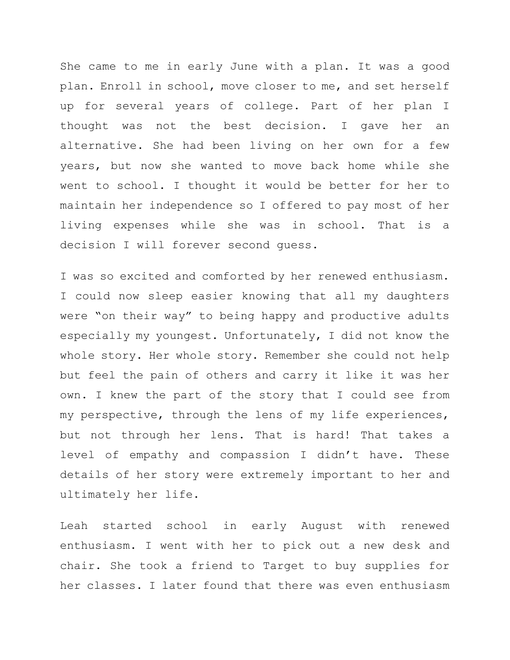She came to me in early June with a plan. It was a good plan. Enroll in school, move closer to me, and set herself up for several years of college. Part of her plan I thought was not the best decision. I gave her an alternative. She had been living on her own for a few years, but now she wanted to move back home while she went to school. I thought it would be better for her to maintain her independence so I offered to pay most of her living expenses while she was in school. That is a decision I will forever second guess.

I was so excited and comforted by her renewed enthusiasm. I could now sleep easier knowing that all my daughters were "on their way" to being happy and productive adults especially my youngest. Unfortunately, I did not know the whole story. Her whole story. Remember she could not help but feel the pain of others and carry it like it was her own. I knew the part of the story that I could see from my perspective, through the lens of my life experiences, but not through her lens. That is hard! That takes a level of empathy and compassion I didn't have. These details of her story were extremely important to her and ultimately her life.

Leah started school in early August with renewed enthusiasm. I went with her to pick out a new desk and chair. She took a friend to Target to buy supplies for her classes. I later found that there was even enthusiasm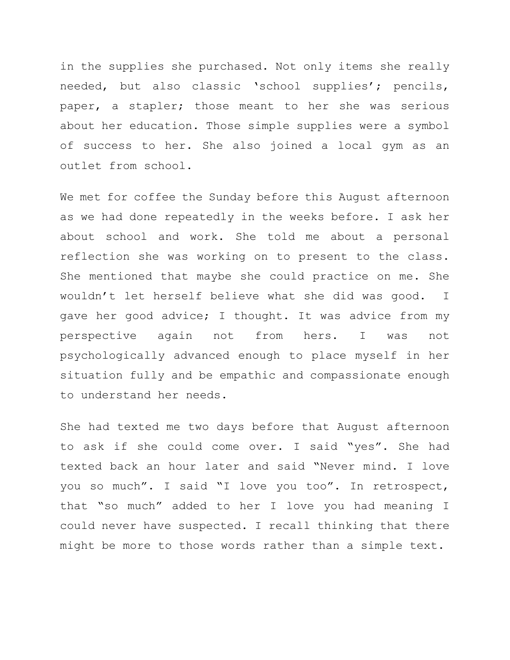in the supplies she purchased. Not only items she really needed, but also classic 'school supplies'; pencils, paper, a stapler; those meant to her she was serious about her education. Those simple supplies were a symbol of success to her. She also joined a local gym as an outlet from school.

We met for coffee the Sunday before this August afternoon as we had done repeatedly in the weeks before. I ask her about school and work. She told me about a personal reflection she was working on to present to the class. She mentioned that maybe she could practice on me. She wouldn't let herself believe what she did was good. I gave her good advice; I thought. It was advice from my perspective again not from hers. I was not psychologically advanced enough to place myself in her situation fully and be empathic and compassionate enough to understand her needs.

She had texted me two days before that August afternoon to ask if she could come over. I said "yes". She had texted back an hour later and said "Never mind. I love you so much". I said "I love you too". In retrospect, that "so much" added to her I love you had meaning I could never have suspected. I recall thinking that there might be more to those words rather than a simple text.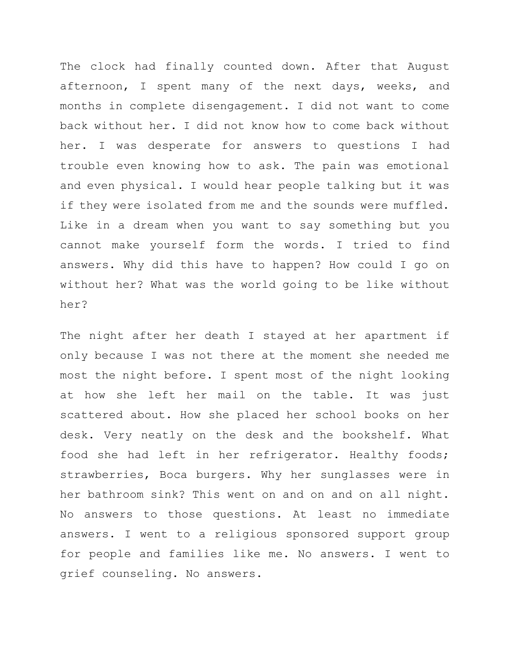The clock had finally counted down. After that August afternoon, I spent many of the next days, weeks, and months in complete disengagement. I did not want to come back without her. I did not know how to come back without her. I was desperate for answers to questions I had trouble even knowing how to ask. The pain was emotional and even physical. I would hear people talking but it was if they were isolated from me and the sounds were muffled. Like in a dream when you want to say something but you cannot make yourself form the words. I tried to find answers. Why did this have to happen? How could I go on without her? What was the world going to be like without her?

The night after her death I stayed at her apartment if only because I was not there at the moment she needed me most the night before. I spent most of the night looking at how she left her mail on the table. It was just scattered about. How she placed her school books on her desk. Very neatly on the desk and the bookshelf. What food she had left in her refrigerator. Healthy foods; strawberries, Boca burgers. Why her sunglasses were in her bathroom sink? This went on and on and on all night. No answers to those questions. At least no immediate answers. I went to a religious sponsored support group for people and families like me. No answers. I went to grief counseling. No answers.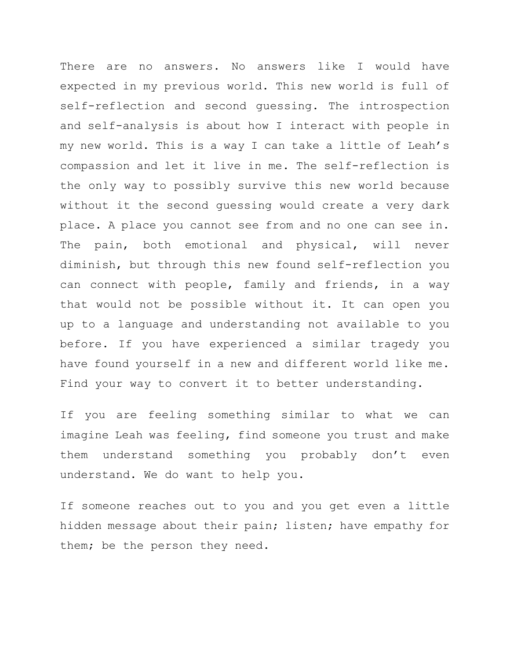There are no answers. No answers like I would have expected in my previous world. This new world is full of self-reflection and second guessing. The introspection and self-analysis is about how I interact with people in my new world. This is a way I can take a little of Leah's compassion and let it live in me. The self-reflection is the only way to possibly survive this new world because without it the second guessing would create a very dark place. A place you cannot see from and no one can see in. The pain, both emotional and physical, will never diminish, but through this new found self-reflection you can connect with people, family and friends, in a way that would not be possible without it. It can open you up to a language and understanding not available to you before. If you have experienced a similar tragedy you have found yourself in a new and different world like me. Find your way to convert it to better understanding.

If you are feeling something similar to what we can imagine Leah was feeling, find someone you trust and make them understand something you probably don't even understand. We do want to help you.

If someone reaches out to you and you get even a little hidden message about their pain; listen; have empathy for them; be the person they need.